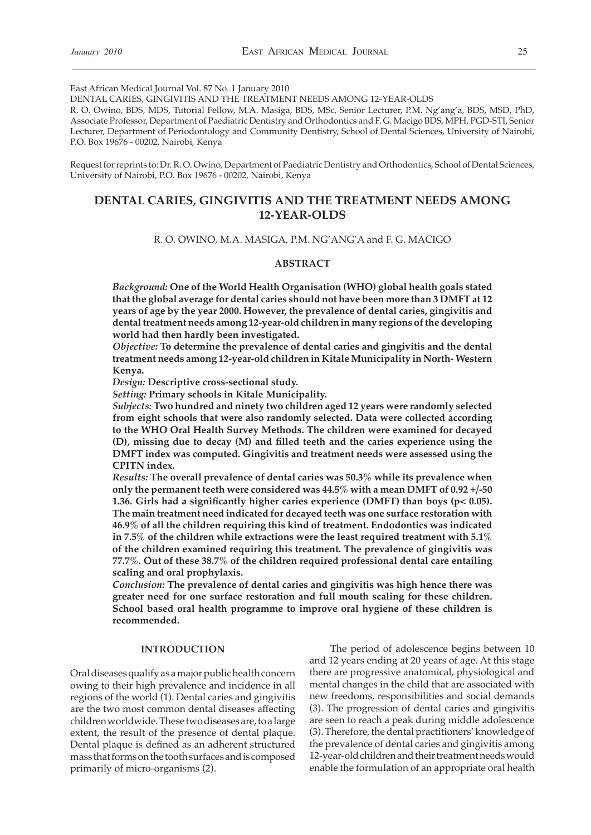East African Medical Journal Vol. 87 No. 1 January 2010

DENTAL CARIES, GINGIVITIS AND THE TREATMENT NEEDS AMONG 12-YEAR-OLDS

R. O. Owino, BDS, MDS, Tutorial Fellow, M.A. Masiga, BDS, MSc, Senior Lecturer, P.M. Ng'ang'a, BDS, MSD, PhD, Associate Professor, Department of Paediatric Dentistry and Orthodontics and F. G. Macigo BDS, MPH, PGD-STI, Senior Lecturer, Department of Periodontology and Community Dentistry, School of Dental Sciences, University of Nairobi, P.O. Box 19676 - 00202, Nairobi, Kenya

Request for reprints to: Dr. R. O. Owino, Department of Paediatric Dentistry and Orthodontics, School of Dental Sciences, University of Nairobi, P.O. Box 19676 - 00202, Nairobi, Kenya

# **DENTAL CARIES, GINGIVITIS AND THE TREATMENT NEEDS AMONG 12-YEAR-OLDS**

R. O. OWINO, M.A. MASIGA, P.M. NG'ANG'A and F. G. MACIGO

#### **ABSTRACT**

*Background:* **One of the World Health Organisation (WHO) global health goals stated that the global average for dental caries should not have been more than 3 DMFT at 12 years of age by the year 2000. However, the prevalence of dental caries, gingivitis and dental treatment needs among 12-year-old children in many regions of the developing world had then hardly been investigated.** 

*Objective:* **To determine the prevalence of dental caries and gingivitis and the dental treatment needs among 12-year-old children in Kitale Municipality in North- Western Kenya.** 

*Design:* **Descriptive cross-sectional study.** 

*Setting:* **Primary schools in Kitale Municipality.** 

*Subjects:* **Two hundred and ninety two children aged 12 years were randomly selected from eight schools that were also randomly selected. Data were collected according to the WHO Oral Health Survey Methods. The children were examined for decayed (D), missing due to decay (M) and filled teeth and the caries experience using the DMFT index was computed. Gingivitis and treatment needs were assessed using the CPITN index.** 

*Results:* **The overall prevalence of dental caries was 50.3% while its prevalence when only the permanent teeth were considered was 44.5% with a mean DMFT of 0.92 +/-50 1.36. Girls had a significantly higher caries experience (DMFT) than boys (p< 0.05). The main treatment need indicated for decayed teeth was one surface restoration with 46.9% of all the children requiring this kind of treatment. Endodontics was indicated in 7.5% of the children while extractions were the least required treatment with 5.1% of the children examined requiring this treatment. The prevalence of gingivitis was 77.7%. Out of these 38.7% of the children required professional dental care entailing scaling and oral prophylaxis.** 

*Conclusion:* **The prevalence of dental caries and gingivitis was high hence there was greater need for one surface restoration and full mouth scaling for these children. School based oral health programme to improve oral hygiene of these children is recommended.** 

## **INTRODUCTION**

Oral diseases qualify as a major public health concern owing to their high prevalence and incidence in all regions of the world (1). Dental caries and gingivitis are the two most common dental diseases affecting children worldwide. These two diseases are, to a large extent, the result of the presence of dental plaque. Dental plaque is defined as an adherent structured mass that forms on the tooth surfaces and is composed primarily of micro-organisms (2).

 The period of adolescence begins between 10 and 12 years ending at 20 years of age. At this stage there are progressive anatomical, physiological and mental changes in the child that are associated with new freedoms, responsibilities and social demands (3). The progression of dental caries and gingivitis are seen to reach a peak during middle adolescence (3). Therefore, the dental practitioners' knowledge of the prevalence of dental caries and gingivitis among 12-year-old children and their treatment needs would enable the formulation of an appropriate oral health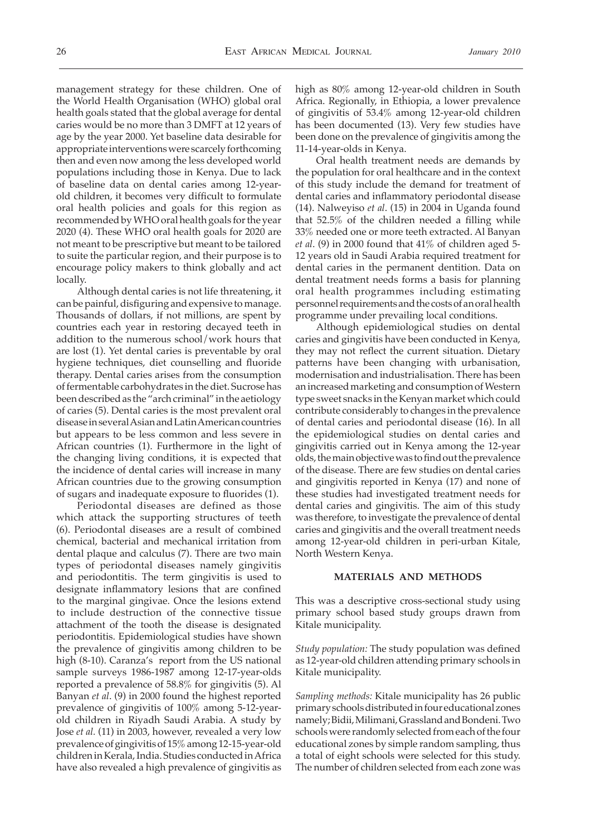health goals stated that the global average for dental caries would be no more than 3 DMFT at 12 years of age by the year 2000. Yet baseline data desirable for appropriate interventions were scarcely forthcoming then and even now among the less developed world populations including those in Kenya. Due to lack of baseline data on dental caries among 12-yearold children, it becomes very difficult to formulate oral health policies and goals for this region as recommended by WHO oral health goals for the year 2020 (4). These WHO oral health goals for 2020 are not meant to be prescriptive but meant to be tailored to suite the particular region, and their purpose is to encourage policy makers to think globally and act locally.

 Although dental caries is not life threatening, it can be painful, disfiguring and expensive to manage. Thousands of dollars, if not millions, are spent by countries each year in restoring decayed teeth in addition to the numerous school/work hours that are lost (1). Yet dental caries is preventable by oral hygiene techniques, diet counselling and fluoride therapy. Dental caries arises from the consumption of fermentable carbohydrates in the diet. Sucrose has been described as the "arch criminal" in the aetiology of caries (5). Dental caries is the most prevalent oral disease in several Asian and Latin American countries but appears to be less common and less severe in African countries (1). Furthermore in the light of the changing living conditions, it is expected that the incidence of dental caries will increase in many African countries due to the growing consumption of sugars and inadequate exposure to fluorides (1).

 Periodontal diseases are defined as those which attack the supporting structures of teeth (6). Periodontal diseases are a result of combined chemical, bacterial and mechanical irritation from dental plaque and calculus (7). There are two main types of periodontal diseases namely gingivitis and periodontitis. The term gingivitis is used to designate inflammatory lesions that are confined to the marginal gingivae. Once the lesions extend to include destruction of the connective tissue attachment of the tooth the disease is designated periodontitis. Epidemiological studies have shown the prevalence of gingivitis among children to be high (8-10). Caranza's report from the US national sample surveys 1986-1987 among 12-17-year-olds reported a prevalence of 58.8% for gingivitis (5). Al Banyan *et al*. (9) in 2000 found the highest reported prevalence of gingivitis of 100% among 5-12-yearold children in Riyadh Saudi Arabia. A study by Jose *et al.* (11) in 2003, however, revealed a very low prevalence of gingivitis of 15% among 12-15-year-old children in Kerala, India. Studies conducted in Africa have also revealed a high prevalence of gingivitis as

high as 80% among 12-year-old children in South Africa. Regionally, in Ethiopia, a lower prevalence of gingivitis of 53.4% among 12-year-old children has been documented (13). Very few studies have been done on the prevalence of gingivitis among the 11-14-year-olds in Kenya.

 Oral health treatment needs are demands by the population for oral healthcare and in the context of this study include the demand for treatment of dental caries and inflammatory periodontal disease (14). Nalweyiso *et al*. (15) in 2004 in Uganda found that 52.5% of the children needed a filling while 33% needed one or more teeth extracted. Al Banyan *et al*. (9) in 2000 found that 41% of children aged 5- 12 years old in Saudi Arabia required treatment for dental caries in the permanent dentition. Data on dental treatment needs forms a basis for planning oral health programmes including estimating personnel requirements and the costs of an oral health programme under prevailing local conditions.

 Although epidemiological studies on dental caries and gingivitis have been conducted in Kenya, they may not reflect the current situation. Dietary patterns have been changing with urbanisation, modernisation and industrialisation. There has been an increased marketing and consumption of Western type sweet snacks in the Kenyan market which could contribute considerably to changes in the prevalence of dental caries and periodontal disease (16). In all the epidemiological studies on dental caries and gingivitis carried out in Kenya among the 12-year olds, the main objective was to find out the prevalence of the disease. There are few studies on dental caries and gingivitis reported in Kenya (17) and none of these studies had investigated treatment needs for dental caries and gingivitis. The aim of this study was therefore, to investigate the prevalence of dental caries and gingivitis and the overall treatment needs among 12-year-old children in peri-urban Kitale, North Western Kenya.

### **MATERIALS AND METHODS**

This was a descriptive cross-sectional study using primary school based study groups drawn from Kitale municipality.

*Study population:* The study population was defined as 12-year-old children attending primary schools in Kitale municipality.

*Sampling methods:* Kitale municipality has 26 public primary schools distributed in four educational zones namely; Bidii, Milimani, Grassland and Bondeni. Two schools were randomly selected from each of the four educational zones by simple random sampling, thus a total of eight schools were selected for this study. The number of children selected from each zone was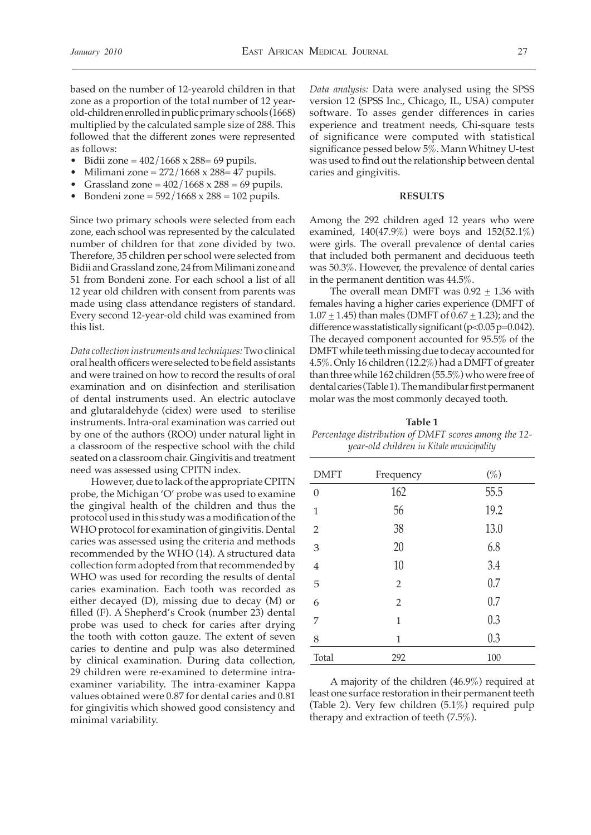based on the number of 12-yearold children in that zone as a proportion of the total number of 12 yearold-children enrolled in public primary schools (1668) multiplied by the calculated sample size of 288. This followed that the different zones were represented as follows:

- Bidii zone =  $402/1668 \times 288 = 69$  pupils.
- Milimani zone  $= 272/1668$  x 288=47 pupils.
- Grassland zone =  $402/1668$  x  $288 = 69$  pupils.
- Bondeni zone =  $592/1668 \times 288 = 102$  pupils.

Since two primary schools were selected from each zone, each school was represented by the calculated number of children for that zone divided by two. Therefore, 35 children per school were selected from Bidii and Grassland zone, 24 from Milimani zone and 51 from Bondeni zone. For each school a list of all 12 year old children with consent from parents was made using class attendance registers of standard. Every second 12-year-old child was examined from this list.

*Data collection instruments and techniques:* Two clinical oral health officers were selected to be field assistants and were trained on how to record the results of oral examination and on disinfection and sterilisation of dental instruments used. An electric autoclave and glutaraldehyde (cidex) were used to sterilise instruments. Intra-oral examination was carried out by one of the authors (ROO) under natural light in a classroom of the respective school with the child seated on a classroom chair. Gingivitis and treatment need was assessed using CPITN index.

 However, due to lack of the appropriate CPITN probe, the Michigan 'O' probe was used to examine the gingival health of the children and thus the protocol used in this study was a modification of the WHO protocol for examination of gingivitis. Dental caries was assessed using the criteria and methods recommended by the WHO (14). A structured data collection form adopted from that recommended by WHO was used for recording the results of dental caries examination. Each tooth was recorded as either decayed (D), missing due to decay (M) or filled (F). A Shepherd's Crook (number 23) dental probe was used to check for caries after drying the tooth with cotton gauze. The extent of seven caries to dentine and pulp was also determined by clinical examination. During data collection, 29 children were re-examined to determine intraexaminer variability. The intra-examiner Kappa values obtained were 0.87 for dental caries and 0.81 for gingivitis which showed good consistency and minimal variability.

*Data analysis:* Data were analysed using the SPSS version 12 (SPSS Inc., Chicago, IL, USA) computer software. To asses gender differences in caries experience and treatment needs, Chi-square tests of significance were computed with statistical significance pessed below  $5\%$ . Mann Whitney U-test was used to find out the relationship between dental caries and gingivitis.

#### **RESULTS**

Among the 292 children aged 12 years who were examined, 140(47.9%) were boys and 152(52.1%) were girls. The overall prevalence of dental caries that included both permanent and deciduous teeth was 50.3%. However, the prevalence of dental caries in the permanent dentition was 44.5%.

 The overall mean DMFT was 0.92 + 1.36 with females having a higher caries experience (DMFT of 1.07  $\pm$  1.45) than males (DMFT of 0.67  $\pm$  1.23); and the difference was statistically significant ( $p<0.05$  $p=0.042$ ). The decayed component accounted for 95.5% of the DMFT while teeth missing due to decay accounted for 4.5%. Only 16 children (12.2%) had a DMFT of greater than three while 162 children (55.5%) who were free of dental caries (Table 1). The mandibular first permanent molar was the most commonly decayed tooth.

**Table 1** *Percentage distribution of DMFT scores among the 12 year-old children in Kitale municipality*

| <b>DMFT</b>      | Frequency      | $(\%)$ |
|------------------|----------------|--------|
| $\boldsymbol{0}$ | 162            | 55.5   |
| $\mathbf{1}$     | 56             | 19.2   |
| $\overline{2}$   | 38             | 13.0   |
| 3                | 20             | 6.8    |
| $\overline{4}$   | 10             | 3.4    |
| 5                | $\overline{2}$ | 0.7    |
| 6                | $\overline{2}$ | 0.7    |
| 7                | $\mathbf{1}$   | 0.3    |
| 8                | 1              | 0.3    |
| Total            | 292            | 100    |

 A majority of the children (46.9%) required at least one surface restoration in their permanent teeth (Table 2). Very few children (5.1%) required pulp therapy and extraction of teeth (7.5%).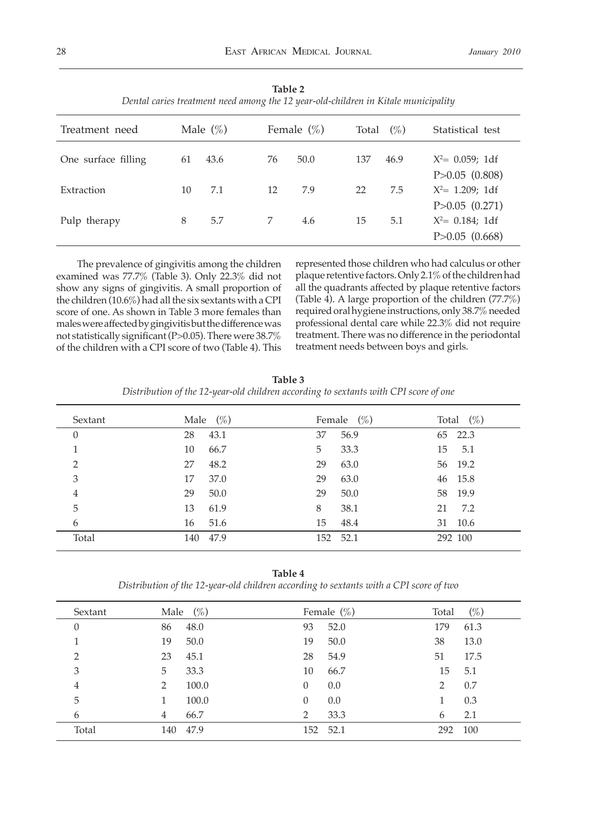| Treatment need      | Male $(\%)$ |      |    | Female $(\% )$ | Total | $(\%)$ | Statistical test                                                    |
|---------------------|-------------|------|----|----------------|-------|--------|---------------------------------------------------------------------|
| One surface filling | 61          | 43.6 | 76 | 50.0           | 137   | 46.9   | $X^2 = 0.059$ ; 1df<br>$P > 0.05$ $(0.808)$                         |
| Extraction          | 10          | 7.1  | 12 | 7.9            | 22    | 7.5    | $X^2 = 1.209$ ; 1df                                                 |
| Pulp therapy        | 8           | 5.7  | 7  | 4.6            | 15    | 5.1    | $P > 0.05$ $(0.271)$<br>$X^2 = 0.184$ ; 1df<br>$P > 0.05$ $(0.668)$ |

**Table 2** *Dental caries treatment need among the 12 year-old-children in Kitale municipality*

 The prevalence of gingivitis among the children examined was 77.7% (Table 3). Only 22.3% did not show any signs of gingivitis. A small proportion of the children (10.6%) had all the six sextants with a CPI score of one. As shown in Table 3 more females than males were affected by gingivitis but the difference was not statistically significant (P>0.05). There were 38.7% of the children with a CPI score of two (Table 4). This represented those children who had calculus or other plaque retentive factors. Only 2.1% of the children had all the quadrants affected by plaque retentive factors (Table 4). A large proportion of the children  $(77.7\%)$ required oral hygiene instructions, only 38.7% needed professional dental care while 22.3% did not require treatment. There was no difference in the periodontal treatment needs between boys and girls.

| Table 3                                                                              |  |
|--------------------------------------------------------------------------------------|--|
| Distribution of the 12-year-old children according to sextants with CPI score of one |  |

| Sextant        | (%)<br>Male | Female $(\%)$ | $(\%)$<br>Total |
|----------------|-------------|---------------|-----------------|
| $\theta$       | 28<br>43.1  | 56.9<br>37    | 65 22.3         |
|                | 10<br>66.7  | 33.3<br>5     | 5.1<br>15       |
| $\overline{2}$ | 48.2<br>27  | 63.0<br>29    | 56 19.2         |
| 3              | 37.0<br>17  | 63.0<br>29    | 46 15.8         |
| $\overline{4}$ | 29<br>50.0  | 50.0<br>29    | 58 19.9         |
| 5              | 13<br>61.9  | 38.1<br>8     | 7.2<br>21       |
| 6              | 51.6<br>16  | 15<br>48.4    | 31 10.6         |
| Total          | 140<br>47.9 | 52.1<br>152   | 292 100         |

**Table 4**

*Distribution of the 12-year-old children according to sextants with a CPI score of two*

| Sextant        | Male | $(\%)$ |          | Female $(\%)$ | Total | $(\%)$ |
|----------------|------|--------|----------|---------------|-------|--------|
| $\theta$       | 86   | 48.0   | 93       | 52.0          | 179   | 61.3   |
|                | 19   | 50.0   | 19       | 50.0          | 38    | 13.0   |
| $\overline{2}$ | 23   | 45.1   | 28       | 54.9          | 51    | 17.5   |
| 3              | 5    | 33.3   | 10       | 66.7          | 15    | 5.1    |
| 4              | 2    | 100.0  | $\theta$ | 0.0           | 2     | 0.7    |
| 5              |      | 100.0  | $\theta$ | 0.0           |       | 0.3    |
| 6              | 4    | 66.7   | 2        | 33.3          | 6     | 2.1    |
| Total          | 140  | 47.9   | 152      | 52.1          | 292   | 100    |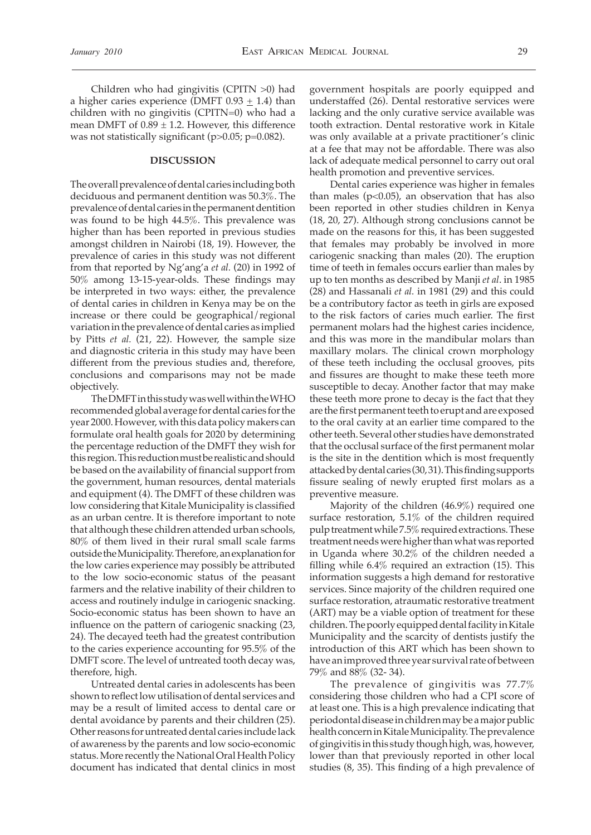Children who had gingivitis (CPITN >0) had a higher caries experience (DMFT  $0.93 \pm 1.4$ ) than children with no gingivitis (CPITN=0) who had a mean DMFT of  $0.89 \pm 1.2$ . However, this difference was not statistically significant (p>0.05; p=0.082).

#### **DISCUSSION**

The overall prevalence of dental caries including both deciduous and permanent dentition was 50.3%. The prevalence of dental caries in the permanent dentition was found to be high 44.5%. This prevalence was higher than has been reported in previous studies amongst children in Nairobi (18, 19). However, the prevalence of caries in this study was not different from that reported by Ng'ang'a *et al.* (20) in 1992 of 50% among 13-15-year-olds. These findings may be interpreted in two ways: either, the prevalence of dental caries in children in Kenya may be on the increase or there could be geographical/regional variation in the prevalence of dental caries as implied by Pitts *et al.* (21, 22). However, the sample size and diagnostic criteria in this study may have been different from the previous studies and, therefore, conclusions and comparisons may not be made objectively.

 The DMFT in this study was well within the WHO recommended global average for dental caries for the year 2000. However, with this data policy makers can formulate oral health goals for 2020 by determining the percentage reduction of the DMFT they wish for this region. This reduction must be realistic and should be based on the availability of financial support from the government, human resources, dental materials and equipment (4). The DMFT of these children was low considering that Kitale Municipality is classified as an urban centre. It is therefore important to note that although these children attended urban schools, 80% of them lived in their rural small scale farms outside the Municipality. Therefore, an explanation for the low caries experience may possibly be attributed to the low socio-economic status of the peasant farmers and the relative inability of their children to access and routinely indulge in cariogenic snacking. Socio-economic status has been shown to have an influence on the pattern of cariogenic snacking (23, 24). The decayed teeth had the greatest contribution to the caries experience accounting for 95.5% of the DMFT score. The level of untreated tooth decay was, therefore, high.

 Untreated dental caries in adolescents has been shown to reflect low utilisation of dental services and may be a result of limited access to dental care or dental avoidance by parents and their children (25). Other reasons for untreated dental caries include lack of awareness by the parents and low socio-economic status. More recently the National Oral Health Policy document has indicated that dental clinics in most government hospitals are poorly equipped and understaffed (26). Dental restorative services were lacking and the only curative service available was tooth extraction. Dental restorative work in Kitale was only available at a private practitioner's clinic at a fee that may not be affordable. There was also lack of adequate medical personnel to carry out oral health promotion and preventive services.

 Dental caries experience was higher in females than males  $(p<0.05)$ , an observation that has also been reported in other studies children in Kenya (18, 20, 27). Although strong conclusions cannot be made on the reasons for this, it has been suggested that females may probably be involved in more cariogenic snacking than males (20). The eruption time of teeth in females occurs earlier than males by up to ten months as described by Manji *et al*. in 1985 (28) and Hassanali *et al.* in 1981 (29) and this could be a contributory factor as teeth in girls are exposed to the risk factors of caries much earlier. The first permanent molars had the highest caries incidence, and this was more in the mandibular molars than maxillary molars. The clinical crown morphology of these teeth including the occlusal grooves, pits and fissures are thought to make these teeth more susceptible to decay. Another factor that may make these teeth more prone to decay is the fact that they are the first permanent teeth to erupt and are exposed to the oral cavity at an earlier time compared to the other teeth. Several other studies have demonstrated that the occlusal surface of the first permanent molar is the site in the dentition which is most frequently attacked by dental caries (30, 31). This finding supports fissure sealing of newly erupted first molars as a preventive measure.

 Majority of the children (46.9%) required one surface restoration, 5.1% of the children required pulp treatment while 7.5% required extractions. These treatment needs were higher than what was reported in Uganda where 30.2% of the children needed a filling while 6.4% required an extraction (15). This information suggests a high demand for restorative services. Since majority of the children required one surface restoration, atraumatic restorative treatment (ART) may be a viable option of treatment for these children. The poorly equipped dental facility in Kitale Municipality and the scarcity of dentists justify the introduction of this ART which has been shown to have an improved three year survival rate of between 79% and 88% (32- 34).

 The prevalence of gingivitis was 77.7% considering those children who had a CPI score of at least one. This is a high prevalence indicating that periodontal disease in children may be a major public health concern in Kitale Municipality. The prevalence of gingivitis in this study though high, was, however, lower than that previously reported in other local studies (8, 35). This finding of a high prevalence of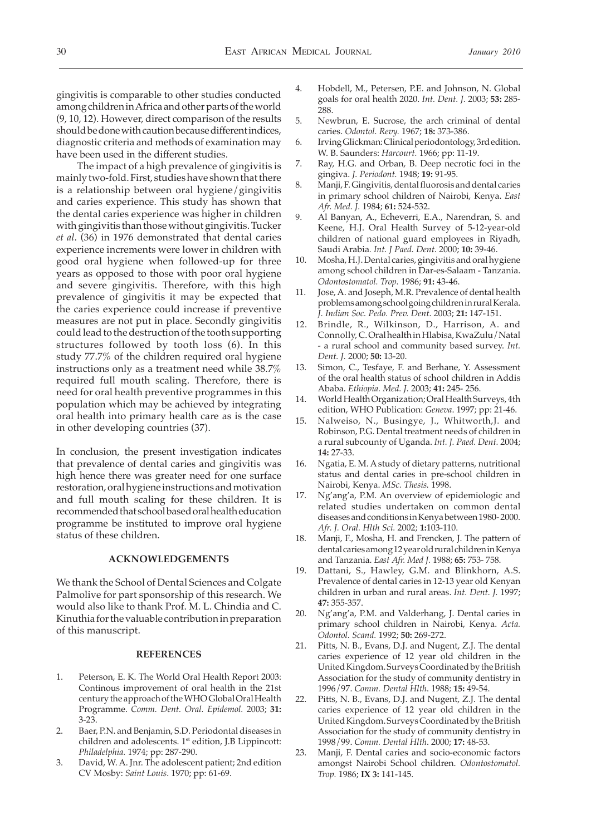gingivitis is comparable to other studies conducted among children in Africa and other parts of the world (9, 10, 12). However, direct comparison of the results should be done with caution because different indices, diagnostic criteria and methods of examination may have been used in the different studies.

 The impact of a high prevalence of gingivitis is mainly two-fold. First, studies have shown that there is a relationship between oral hygiene/gingivitis and caries experience. This study has shown that the dental caries experience was higher in children with gingivitis than those without gingivitis. Tucker *et al*. (36) in 1976 demonstrated that dental caries experience increments were lower in children with good oral hygiene when followed-up for three years as opposed to those with poor oral hygiene and severe gingivitis. Therefore, with this high prevalence of gingivitis it may be expected that the caries experience could increase if preventive measures are not put in place. Secondly gingivitis could lead to the destruction of the tooth supporting structures followed by tooth loss (6). In this study 77.7% of the children required oral hygiene instructions only as a treatment need while 38.7% required full mouth scaling. Therefore, there is need for oral health preventive programmes in this population which may be achieved by integrating oral health into primary health care as is the case in other developing countries (37).

In conclusion, the present investigation indicates that prevalence of dental caries and gingivitis was high hence there was greater need for one surface restoration, oral hygiene instructions and motivation and full mouth scaling for these children. It is recommended that school based oral health education programme be instituted to improve oral hygiene status of these children.

#### **ACKNOWLEDGEMENTS**

We thank the School of Dental Sciences and Colgate Palmolive for part sponsorship of this research. We would also like to thank Prof. M. L. Chindia and C. Kinuthia for the valuable contribution in preparation of this manuscript.

#### **REFERENCES**

- 1. Peterson, E. K. The World Oral Health Report 2003: Continous improvement of oral health in the 21st century the approach of the WHO Global Oral Health Programme. *Comm. Dent. Oral. Epidemol.* 2003; **31:** 3-23.
- 2. Baer, P.N. and Benjamin, S.D. Periodontal diseases in children and adolescents. 1<sup>st</sup> edition, J.B Lippincott: *Philadelphia.* 1974; pp: 287-290.
- 3. David, W. A. Jnr. The adolescent patient; 2nd edition CV Mosby: *Saint Louis*. 1970; pp: 61-69.
- 4. Hobdell, M., Petersen, P.E. and Johnson, N. Global goals for oral health 2020. *Int. Dent. J.* 2003; **53:** 285- 288.
- 5. Newbrun, E. Sucrose, the arch criminal of dental caries. *Odontol. Revy.* 1967; **18:** 373-386.
- 6. Irving Glickman: Clinical periodontology, 3rd edition. W. B. Saunders: *Harcourt.* 1966; pp: 11-19.
- 7. Ray, H.G. and Orban, B. Deep necrotic foci in the gingiva. *J. Periodont.* 1948; **19:** 91-95.
- 8. Manji, F. Gingivitis, dental fluorosis and dental caries in primary school children of Nairobi, Kenya. *East Afr. Med. J.* 1984; **61:** 524-532.
- Al Banyan, A., Echeverri, E.A., Narendran, S. and Keene, H.J. Oral Health Survey of 5-12-year-old children of national guard employees in Riyadh, Saudi Arabia*. Int. J Paed. Dent*. 2000; **10:** 39-46.
- 10. Mosha, H.J. Dental caries, gingivitis and oral hygiene among school children in Dar-es-Salaam - Tanzania. *Odontostomatol. Trop.* 1986; **91:** 43-46.
- 11. Jose, A. and Joseph, M.R. Prevalence of dental health problems among school going children in rural Kerala. *J. Indian Soc. Pedo. Prev. Dent*. 2003; **21:** 147-151.
- 12. Brindle, R., Wilkinson, D., Harrison, A. and Connolly, C. Oral health in Hlabisa, KwaZulu/Natal - a rural school and community based survey. *Int. Dent. J.* 2000; **50:** 13-20.
- 13. Simon, C., Tesfaye, F. and Berhane, Y. Assessment of the oral health status of school children in Addis Ababa. *Ethiopia. Med. J.* 2003; **41:** 245- 256.
- 14. World Health Organization; Oral Health Surveys, 4th edition, WHO Publication: *Geneva*. 1997; pp: 21-46.
- 15. Nalweiso, N., Busingye, J., Whitworth,J. and Robinson, P.G. Dental treatment needs of children in a rural subcounty of Uganda. *Int. J. Paed. Dent.* 2004; **14:** 27-33.
- 16. Ngatia, E. M. A study of dietary patterns, nutritional status and dental caries in pre-school children in Nairobi, Kenya. *MSc. Thesis.* 1998.
- 17. Ng'ang'a, P.M. An overview of epidemiologic and related studies undertaken on common dental diseases and conditions in Kenya between 1980- 2000. *Afr. J. Oral. Hlth Sci.* 2002; **1:**103-110.
- 18. Manji, F., Mosha, H. and Frencken, J. The pattern of dental caries among 12 year old rural children in Kenya and Tanzania. *East Afr. Med J.* 1988; **65:** 753- 758.
- 19. Dattani, S., Hawley, G.M. and Blinkhorn, A.S. Prevalence of dental caries in 12-13 year old Kenyan children in urban and rural areas. *Int. Dent. J.* 1997; **47:** 355-357.
- 20. Ng'ang'a, P.M. and Valderhang, J. Dental caries in primary school children in Nairobi, Kenya. *Acta. Odontol. Scand.* 1992; **50:** 269-272.
- 21. Pitts, N. B., Evans, D.J. and Nugent, Z.J. The dental caries experience of 12 year old children in the United Kingdom. Surveys Coordinated by the British Association for the study of community dentistry in 1996/97. *Comm. Dental Hlth*. 1988; **15:** 49-54.
- 22. Pitts, N. B., Evans, D.J. and Nugent, Z.J. The dental caries experience of 12 year old children in the United Kingdom. Surveys Coordinated by the British Association for the study of community dentistry in 1998/99. *Comm. Dental Hlth*. 2000; **17:** 48-53.
- 23. Manji, F. Dental caries and socio-economic factors amongst Nairobi School children. *Odontostomatol. Trop.* 1986; **IX 3:** 141-145.